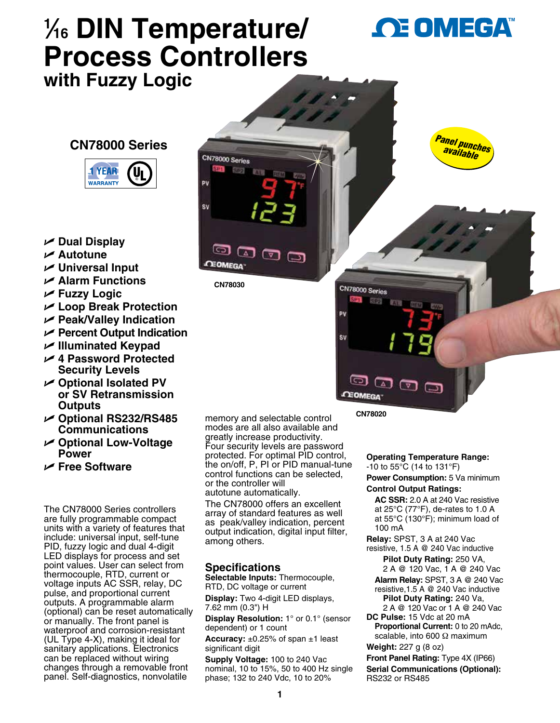# **1 ⁄16 DIN Temperature/ Process Controllers with Fuzzy Logic**

**OE OMEGA** 

*Panel punches available*

## **CN78000 Series**



- U **Dual Display**
- U **Autotune**
- U **Universal Input**
- U **Alarm Functions**
- U **Fuzzy Logic**
- U **Loop Break Protection**
- U **Peak/Valley Indication**
- U **Percent Output Indication**
- U **Illuminated Keypad**
- U **4 Password Protected Security Levels**
- U **Optional Isolated PV or SV Retransmission Outputs**
- U **Optional RS232/RS485 Communications**
- U **Optional Low-Voltage Power**
- U **Free Software**

The CN78000 Series controllers are fully programmable compact units with a variety of features that include: universal input, self-tune PID, fuzzy logic and dual 4-digit LED displays for process and set point values. User can select from thermocouple, RTD, current or voltage inputs AC SSR, relay, DC pulse, and proportional current outputs. A programmable alarm (optional) can be reset automatically or manually. The front panel is waterproof and corrosion-resistant (UL Type 4-X), making it ideal for sanitary applications. Electronics can be replaced without wiring changes through a removable front panel. Self-diagnostics, nonvolatile

memory and selectable control modes are all also available and greatly increase productivity. Four security levels are password protected. For optimal PID control, the on/off, P, PI or PID manual-tune control functions can be selected, or the controller will autotune automatically. The CN78000 offers an excellent array of standard features as well as peak/valley indication, percent output indication, digital input filter,

## **Specifications**

among others.

**CN78030**

「△コ

 $\bm{\Xi}$  ය

ာ

**CEOMEGA** 

CN78000 Series STATI

PV

sv

印刷

**Selectable Inputs:** Thermocouple, RTD, DC voltage or current

**Display:** Two 4-digit LED displays, 7.62 mm (0.3") H

**Display Resolution:** 1° or 0.1° (sensor dependent) or 1 count

**Accuracy:** ±0.25% of span ±1 least significant digit

**Supply Voltage:** 100 to 240 Vac nominal, 10 to 15%, 50 to 400 Hz single phase; 132 to 240 Vdc, 10 to 20%

**CN78020**

ာ **CEOMEGA** 

CN78000 Series SP<sub>1</sub>

pu

śv

**SPN** 

**BFX18** 

**Operating Temperature Range:** -10 to 55°C (14 to 131°F)

**Power Consumption:** 5 Va minimum

## **Control Output Ratings:**

**AC SSR:** 2.0 A at 240 Vac resistive at 25°C (77°F), de-rates to 1.0 A at 55°C (130°F); minimum load of 100 mA

**Relay:** SPST, 3 A at 240 Vac

- resistive, 1.5 A @ 240 Vac inductive **Pilot Duty Rating:** 250 VA,
	- 2 A @ 120 Vac, 1 A @ 240 Vac
	- **Alarm Relay:** SPST, 3 A @ 240 Vac
	- resistive,1.5 A @ 240 Vac inductive **Pilot Duty Rating:** 240 Va,
- 2 A @ 120 Vac or 1 A @ 240 Vac **DC Pulse:** 15 Vdc at 20 mA
- **Proportional Current:** 0 to 20 mAdc, scalable, into 600 Ω maximum **Weight:** 227 g (8 oz)

**Front Panel Rating:** Type 4X (IP66) **Serial Communications (Optional):** RS232 or RS485